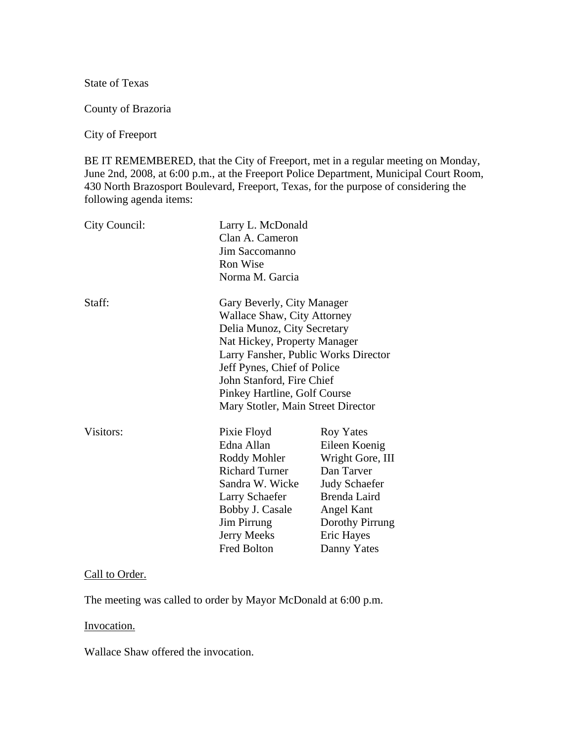State of Texas

County of Brazoria

City of Freeport

BE IT REMEMBERED, that the City of Freeport, met in a regular meeting on Monday, June 2nd, 2008, at 6:00 p.m., at the Freeport Police Department, Municipal Court Room, 430 North Brazosport Boulevard, Freeport, Texas, for the purpose of considering the following agenda items:

| City Council: | Larry L. McDonald<br>Clan A. Cameron<br>Jim Saccomanno<br><b>Ron Wise</b><br>Norma M. Garcia |                      |
|---------------|----------------------------------------------------------------------------------------------|----------------------|
| Staff:        | Gary Beverly, City Manager<br>Wallace Shaw, City Attorney                                    |                      |
|               | Delia Munoz, City Secretary                                                                  |                      |
|               | Nat Hickey, Property Manager                                                                 |                      |
|               | Larry Fansher, Public Works Director                                                         |                      |
|               | Jeff Pynes, Chief of Police                                                                  |                      |
|               | John Stanford, Fire Chief                                                                    |                      |
|               | Pinkey Hartline, Golf Course                                                                 |                      |
|               | Mary Stotler, Main Street Director                                                           |                      |
| Visitors:     | Pixie Floyd                                                                                  | Roy Yates            |
|               | Edna Allan                                                                                   | Eileen Koenig        |
|               | Roddy Mohler                                                                                 | Wright Gore, III     |
|               | <b>Richard Turner</b>                                                                        | Dan Tarver           |
|               | Sandra W. Wicke                                                                              | <b>Judy Schaefer</b> |
|               | Larry Schaefer                                                                               | Brenda Laird         |
|               | Bobby J. Casale                                                                              | <b>Angel Kant</b>    |
|               | <b>Jim Pirrung</b>                                                                           | Dorothy Pirrung      |
|               | <b>Jerry Meeks</b>                                                                           | Eric Hayes           |
|               | <b>Fred Bolton</b>                                                                           | Danny Yates          |

#### Call to Order.

The meeting was called to order by Mayor McDonald at 6:00 p.m.

#### Invocation.

Wallace Shaw offered the invocation.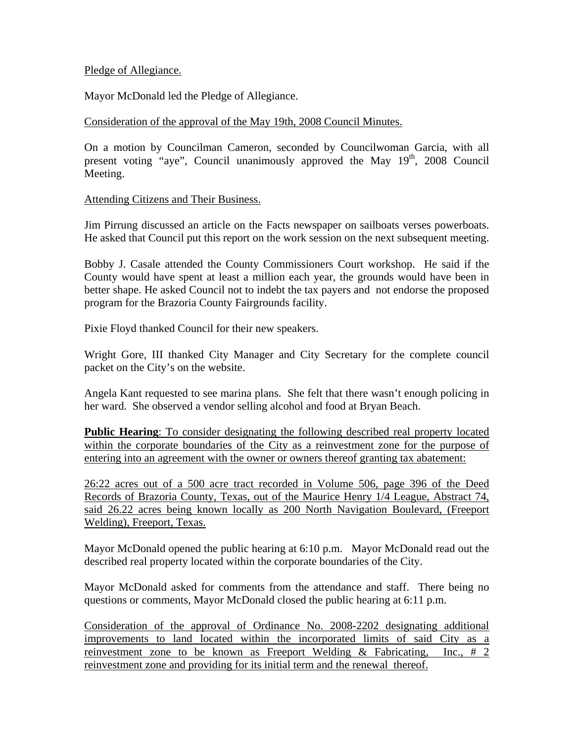### Pledge of Allegiance.

Mayor McDonald led the Pledge of Allegiance.

## Consideration of the approval of the May 19th, 2008 Council Minutes.

On a motion by Councilman Cameron, seconded by Councilwoman Garcia, with all present voting "aye", Council unanimously approved the May  $19<sup>th</sup>$ , 2008 Council Meeting.

### Attending Citizens and Their Business.

Jim Pirrung discussed an article on the Facts newspaper on sailboats verses powerboats. He asked that Council put this report on the work session on the next subsequent meeting.

Bobby J. Casale attended the County Commissioners Court workshop. He said if the County would have spent at least a million each year, the grounds would have been in better shape. He asked Council not to indebt the tax payers and not endorse the proposed program for the Brazoria County Fairgrounds facility.

Pixie Floyd thanked Council for their new speakers.

Wright Gore, III thanked City Manager and City Secretary for the complete council packet on the City's on the website.

Angela Kant requested to see marina plans. She felt that there wasn't enough policing in her ward. She observed a vendor selling alcohol and food at Bryan Beach.

**Public Hearing**: To consider designating the following described real property located within the corporate boundaries of the City as a reinvestment zone for the purpose of entering into an agreement with the owner or owners thereof granting tax abatement:

26:22 acres out of a 500 acre tract recorded in Volume 506, page 396 of the Deed Records of Brazoria County, Texas, out of the Maurice Henry 1/4 League, Abstract 74, said 26.22 acres being known locally as 200 North Navigation Boulevard, (Freeport Welding), Freeport, Texas.

Mayor McDonald opened the public hearing at 6:10 p.m. Mayor McDonald read out the described real property located within the corporate boundaries of the City.

Mayor McDonald asked for comments from the attendance and staff. There being no questions or comments, Mayor McDonald closed the public hearing at 6:11 p.m.

Consideration of the approval of Ordinance No. 2008-2202 designating additional improvements to land located within the incorporated limits of said City as a reinvestment zone to be known as Freeport Welding & Fabricating, Inc., # 2 reinvestment zone and providing for its initial term and the renewal thereof.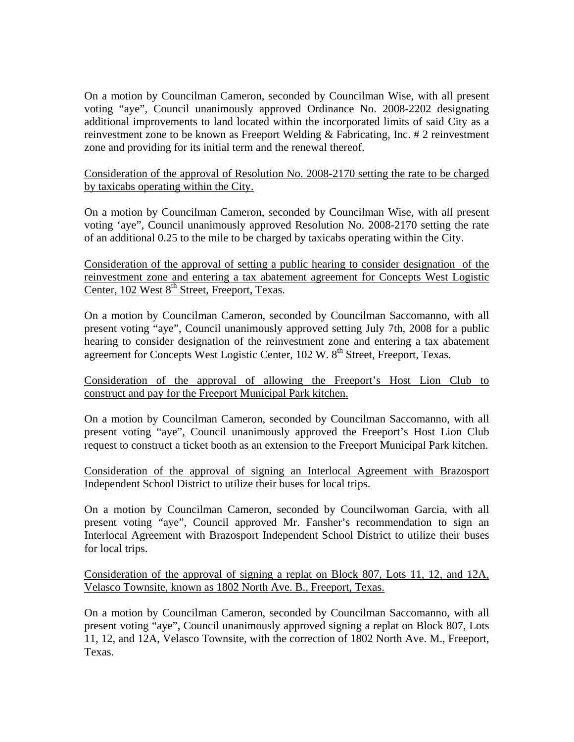On a motion by Councilman Cameron, seconded by Councilman Wise, with all present voting "aye", Council unanimously approved Ordinance No. 2008-2202 designating additional improvements to land located within the incorporated limits of said City as a reinvestment zone to be known as Freeport Welding & Fabricating, Inc. # 2 reinvestment zone and providing for its initial term and the renewal thereof.

Consideration of the approval of Resolution No. 2008-2170 setting the rate to be charged by taxicabs operating within the City.

On a motion by Councilman Cameron, seconded by Councilman Wise, with all present voting 'aye", Council unanimously approved Resolution No. 2008-2170 setting the rate of an additional 0.25 to the mile to be charged by taxicabs operating within the City.

Consideration of the approval of setting a public hearing to consider designation of the reinvestment zone and entering a tax abatement agreement for Concepts West Logistic Center, 102 West 8<sup>th</sup> Street, Freeport, Texas.

On a motion by Councilman Cameron, seconded by Councilman Saccomanno, with all present voting "aye", Council unanimously approved setting July 7th, 2008 for a public hearing to consider designation of the reinvestment zone and entering a tax abatement agreement for Concepts West Logistic Center, 102 W. 8<sup>th</sup> Street, Freeport, Texas.

Consideration of the approval of allowing the Freeport's Host Lion Club to construct and pay for the Freeport Municipal Park kitchen.

On a motion by Councilman Cameron, seconded by Councilman Saccomanno, with all present voting "aye", Council unanimously approved the Freeport's Host Lion Club request to construct a ticket booth as an extension to the Freeport Municipal Park kitchen.

Consideration of the approval of signing an Interlocal Agreement with Brazosport Independent School District to utilize their buses for local trips.

On a motion by Councilman Cameron, seconded by Councilwoman Garcia, with all present voting "aye", Council approved Mr. Fansher's recommendation to sign an Interlocal Agreement with Brazosport Independent School District to utilize their buses for local trips.

Consideration of the approval of signing a replat on Block 807, Lots 11, 12, and 12A, Velasco Townsite, known as 1802 North Ave. B., Freeport, Texas.

On a motion by Councilman Cameron, seconded by Councilman Saccomanno, with all present voting "aye", Council unanimously approved signing a replat on Block 807, Lots 11, 12, and 12A, Velasco Townsite, with the correction of 1802 North Ave. M., Freeport, Texas.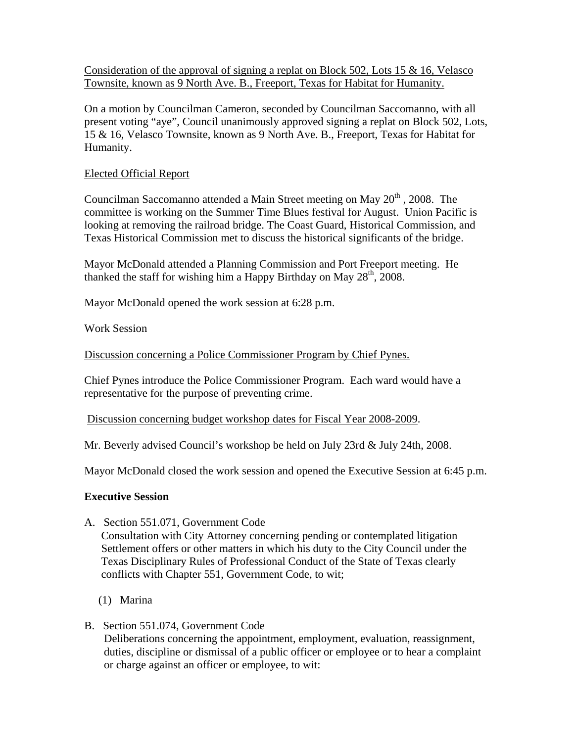Consideration of the approval of signing a replat on Block 502, Lots 15  $\&$  16, Velasco Townsite, known as 9 North Ave. B., Freeport, Texas for Habitat for Humanity.

On a motion by Councilman Cameron, seconded by Councilman Saccomanno, with all present voting "aye", Council unanimously approved signing a replat on Block 502, Lots, 15 & 16, Velasco Townsite, known as 9 North Ave. B., Freeport, Texas for Habitat for Humanity.

## Elected Official Report

Councilman Saccomanno attended a Main Street meeting on May  $20<sup>th</sup>$ , 2008. The committee is working on the Summer Time Blues festival for August. Union Pacific is looking at removing the railroad bridge. The Coast Guard, Historical Commission, and Texas Historical Commission met to discuss the historical significants of the bridge.

Mayor McDonald attended a Planning Commission and Port Freeport meeting. He thanked the staff for wishing him a Happy Birthday on May  $28<sup>th</sup>$ , 2008.

Mayor McDonald opened the work session at 6:28 p.m.

Work Session

Discussion concerning a Police Commissioner Program by Chief Pynes.

Chief Pynes introduce the Police Commissioner Program. Each ward would have a representative for the purpose of preventing crime.

Discussion concerning budget workshop dates for Fiscal Year 2008-2009.

Mr. Beverly advised Council's workshop be held on July 23rd & July 24th, 2008.

Mayor McDonald closed the work session and opened the Executive Session at 6:45 p.m.

## **Executive Session**

A. Section 551.071, Government Code

 Consultation with City Attorney concerning pending or contemplated litigation Settlement offers or other matters in which his duty to the City Council under the Texas Disciplinary Rules of Professional Conduct of the State of Texas clearly conflicts with Chapter 551, Government Code, to wit;

- (1) Marina
- B. Section 551.074, Government Code Deliberations concerning the appointment, employment, evaluation, reassignment, duties, discipline or dismissal of a public officer or employee or to hear a complaint or charge against an officer or employee, to wit: